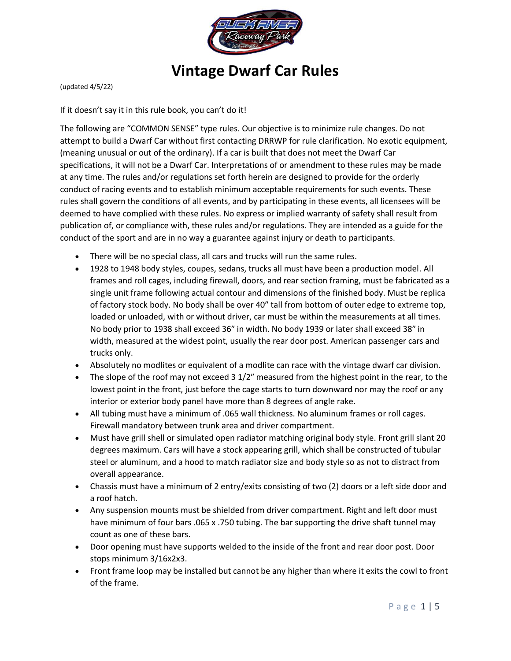

# **Vintage Dwarf Car Rules**

(updated 4/5/22)

If it doesn't say it in this rule book, you can't do it!

The following are "COMMON SENSE" type rules. Our objective is to minimize rule changes. Do not attempt to build a Dwarf Car without first contacting DRRWP for rule clarification. No exotic equipment, (meaning unusual or out of the ordinary). If a car is built that does not meet the Dwarf Car specifications, it will not be a Dwarf Car. Interpretations of or amendment to these rules may be made at any time. The rules and/or regulations set forth herein are designed to provide for the orderly conduct of racing events and to establish minimum acceptable requirements for such events. These rules shall govern the conditions of all events, and by participating in these events, all licensees will be deemed to have complied with these rules. No express or implied warranty of safety shall result from publication of, or compliance with, these rules and/or regulations. They are intended as a guide for the conduct of the sport and are in no way a guarantee against injury or death to participants.

- There will be no special class, all cars and trucks will run the same rules.
- 1928 to 1948 body styles, coupes, sedans, trucks all must have been a production model. All frames and roll cages, including firewall, doors, and rear section framing, must be fabricated as a single unit frame following actual contour and dimensions of the finished body. Must be replica of factory stock body. No body shall be over 40″ tall from bottom of outer edge to extreme top, loaded or unloaded, with or without driver, car must be within the measurements at all times. No body prior to 1938 shall exceed 36″ in width. No body 1939 or later shall exceed 38″ in width, measured at the widest point, usually the rear door post. American passenger cars and trucks only.
- Absolutely no modlites or equivalent of a modlite can race with the vintage dwarf car division.
- The slope of the roof may not exceed 3 1/2" measured from the highest point in the rear, to the lowest point in the front, just before the cage starts to turn downward nor may the roof or any interior or exterior body panel have more than 8 degrees of angle rake.
- All tubing must have a minimum of .065 wall thickness. No aluminum frames or roll cages. Firewall mandatory between trunk area and driver compartment.
- Must have grill shell or simulated open radiator matching original body style. Front grill slant 20 degrees maximum. Cars will have a stock appearing grill, which shall be constructed of tubular steel or aluminum, and a hood to match radiator size and body style so as not to distract from overall appearance.
- Chassis must have a minimum of 2 entry/exits consisting of two (2) doors or a left side door and a roof hatch.
- Any suspension mounts must be shielded from driver compartment. Right and left door must have minimum of four bars .065 x .750 tubing. The bar supporting the drive shaft tunnel may count as one of these bars.
- Door opening must have supports welded to the inside of the front and rear door post. Door stops minimum 3/16x2x3.
- Front frame loop may be installed but cannot be any higher than where it exits the cowl to front of the frame.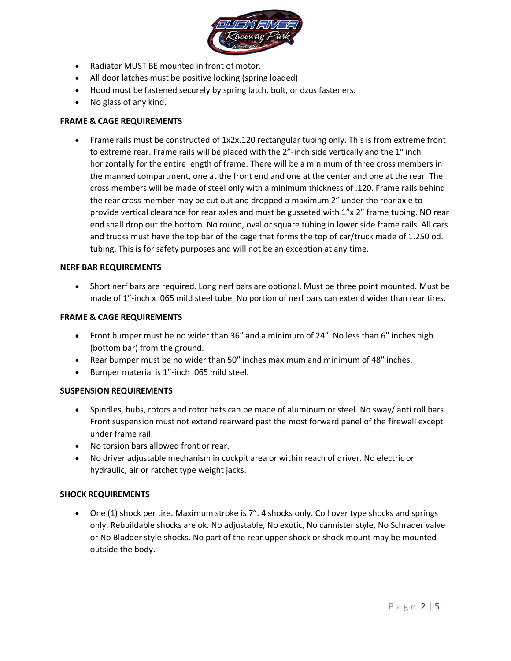

- Radiator MUST BE mounted in front of motor.
- All door latches must be positive locking (spring loaded)
- Hood must be fastened securely by spring latch, bolt, or dzus fasteners.
- No glass of any kind.

## **FRAME & CAGE REQUIREMENTS**

• Frame rails must be constructed of 1x2x.120 rectangular tubing only. This is from extreme front to extreme rear. Frame rails will be placed with the 2"-inch side vertically and the 1″ inch horizontally for the entire length of frame. There will be a minimum of three cross members in the manned compartment, one at the front end and one at the center and one at the rear. The cross members will be made of steel only with a minimum thickness of .120. Frame rails behind the rear cross member may be cut out and dropped a maximum 2" under the rear axle to provide vertical clearance for rear axles and must be gusseted with 1"x 2" frame tubing. NO rear end shall drop out the bottom. No round, oval or square tubing in lower side frame rails. All cars and trucks must have the top bar of the cage that forms the top of car/truck made of 1.250 od. tubing. This is for safety purposes and will not be an exception at any time.

#### **NERF BAR REQUIREMENTS**

• Short nerf bars are required. Long nerf bars are optional. Must be three point mounted. Must be made of 1"-inch x .065 mild steel tube. No portion of nerf bars can extend wider than rear tires.

#### **FRAME & CAGE REQUIREMENTS**

- Front bumper must be no wider than 36″ and a minimum of 24″. No less than 6″ inches high (bottom bar) from the ground.
- Rear bumper must be no wider than 50″ inches maximum and minimum of 48″ inches.
- Bumper material is 1"-inch .065 mild steel.

#### **SUSPENSION REQUIREMENTS**

- Spindles, hubs, rotors and rotor hats can be made of aluminum or steel. No sway/ anti roll bars. Front suspension must not extend rearward past the most forward panel of the firewall except under frame rail.
- No torsion bars allowed front or rear.
- No driver adjustable mechanism in cockpit area or within reach of driver. No electric or hydraulic, air or ratchet type weight jacks.

#### **SHOCK REQUIREMENTS**

• One (1) shock per tire. Maximum stroke is 7". 4 shocks only. Coil over type shocks and springs only. Rebuildable shocks are ok. No adjustable, No exotic, No cannister style, No Schrader valve or No Bladder style shocks. No part of the rear upper shock or shock mount may be mounted outside the body.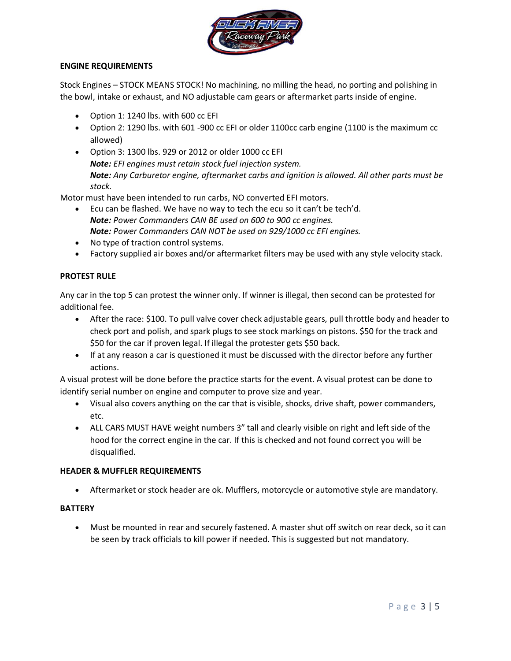

# **ENGINE REQUIREMENTS**

Stock Engines – STOCK MEANS STOCK! No machining, no milling the head, no porting and polishing in the bowl, intake or exhaust, and NO adjustable cam gears or aftermarket parts inside of engine.

- Option 1: 1240 lbs. with 600 cc EFI
- Option 2: 1290 lbs. with 601 -900 cc EFI or older 1100cc carb engine (1100 is the maximum cc allowed)
- Option 3: 1300 lbs. 929 or 2012 or older 1000 cc EFI *Note: EFI engines must retain stock fuel injection system. Note: Any Carburetor engine, aftermarket carbs and ignition is allowed. All other parts must be stock.*

Motor must have been intended to run carbs, NO converted EFI motors.

- Ecu can be flashed. We have no way to tech the ecu so it can't be tech'd. *Note: Power Commanders CAN BE used on 600 to 900 cc engines. Note: Power Commanders CAN NOT be used on 929/1000 cc EFI engines.*
- No type of traction control systems.
- Factory supplied air boxes and/or aftermarket filters may be used with any style velocity stack.

# **PROTEST RULE**

Any car in the top 5 can protest the winner only. If winner is illegal, then second can be protested for additional fee.

- After the race: \$100. To pull valve cover check adjustable gears, pull throttle body and header to check port and polish, and spark plugs to see stock markings on pistons. \$50 for the track and \$50 for the car if proven legal. If illegal the protester gets \$50 back.
- If at any reason a car is questioned it must be discussed with the director before any further actions.

A visual protest will be done before the practice starts for the event. A visual protest can be done to identify serial number on engine and computer to prove size and year.

- Visual also covers anything on the car that is visible, shocks, drive shaft, power commanders, etc.
- ALL CARS MUST HAVE weight numbers 3" tall and clearly visible on right and left side of the hood for the correct engine in the car. If this is checked and not found correct you will be disqualified.

# **HEADER & MUFFLER REQUIREMENTS**

• Aftermarket or stock header are ok. Mufflers, motorcycle or automotive style are mandatory.

# **BATTERY**

• Must be mounted in rear and securely fastened. A master shut off switch on rear deck, so it can be seen by track officials to kill power if needed. This is suggested but not mandatory.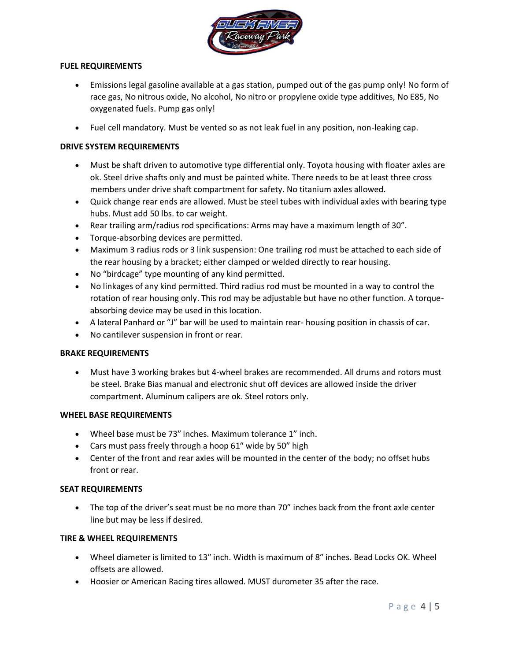

# **FUEL REQUIREMENTS**

- Emissions legal gasoline available at a gas station, pumped out of the gas pump only! No form of race gas, No nitrous oxide, No alcohol, No nitro or propylene oxide type additives, No E85, No oxygenated fuels. Pump gas only!
- Fuel cell mandatory. Must be vented so as not leak fuel in any position, non-leaking cap.

# **DRIVE SYSTEM REQUIREMENTS**

- Must be shaft driven to automotive type differential only. Toyota housing with floater axles are ok. Steel drive shafts only and must be painted white. There needs to be at least three cross members under drive shaft compartment for safety. No titanium axles allowed.
- Quick change rear ends are allowed. Must be steel tubes with individual axles with bearing type hubs. Must add 50 lbs. to car weight.
- Rear trailing arm/radius rod specifications: Arms may have a maximum length of 30".
- Torque-absorbing devices are permitted.
- Maximum 3 radius rods or 3 link suspension: One trailing rod must be attached to each side of the rear housing by a bracket; either clamped or welded directly to rear housing.
- No "birdcage" type mounting of any kind permitted.
- No linkages of any kind permitted. Third radius rod must be mounted in a way to control the rotation of rear housing only. This rod may be adjustable but have no other function. A torqueabsorbing device may be used in this location.
- A lateral Panhard or "J" bar will be used to maintain rear- housing position in chassis of car.
- No cantilever suspension in front or rear.

# **BRAKE REQUIREMENTS**

• Must have 3 working brakes but 4-wheel brakes are recommended. All drums and rotors must be steel. Brake Bias manual and electronic shut off devices are allowed inside the driver compartment. Aluminum calipers are ok. Steel rotors only.

# **WHEEL BASE REQUIREMENTS**

- Wheel base must be 73″ inches. Maximum tolerance 1" inch.
- Cars must pass freely through a hoop 61″ wide by 50″ high
- Center of the front and rear axles will be mounted in the center of the body; no offset hubs front or rear.

# **SEAT REQUIREMENTS**

• The top of the driver's seat must be no more than 70″ inches back from the front axle center line but may be less if desired.

# **TIRE & WHEEL REQUIREMENTS**

- Wheel diameter is limited to 13" inch. Width is maximum of 8" inches. Bead Locks OK. Wheel offsets are allowed.
- Hoosier or American Racing tires allowed. MUST durometer 35 after the race.